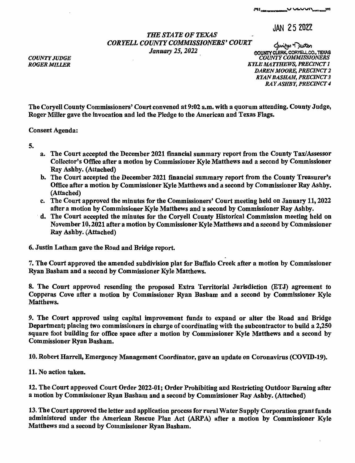## JAN 25 2022

## *THE STATE OF TEXAS CORYELL COUNTY COMMISSIONERS' COURT JANE STATE OF TEARS*<br>*JANTY COMMISSIONERS' COURT*<br>*January 25, 2022 county clerk, coryell co., TEXAS*

*COUNTY JUDGE ROGER MILLER* 

**OOUNIYCLERK.** CORYELL CO., TEXAS *COUNTY COMMISSIONERS KYLE MATTHEWS, PRECINCT I DAREN MOORE, PRECINCT 2 RYAN BASHAM, PRECINCT 3 RAY ASHBY, PRECINCT 4* 

The Coryell County Commissioners' Court convened at 9:02 a.m. with a quorum attending. County Judge, Roger Miller gave the invocation and led the Pledge to the American and Texas Flags.

Consent Agenda:

- 5.
- a. The Court accepted the December 2021 financial summary report from the County Tax/Assessor Collector's Office after a motion by Commissioner Kyle Matthews and a second by Commissioner Ray Ashby. (Attached)
- b. The Court accepted the December 2021 financial summary report from the County Treasurer's Office after a motion by Commissioner Kyle Matthews and a second by Commissioner Ray Ashby. (Attached)
- c. The Court approved the minutes for the Commissioners' Court meeting held on January 11, 2022 after a motion by Commissioner Kyle Matthews and a second by Commissioner Ray Ashby.
- · d. The Court accepted the minutes for the Coryell County Historical Commission meeting held on November 10, 2021 after a motion by Commissioner Kyle Matthews and a second by Commissioner Ray Ashby. (Attached)
- 6. Justin Latham gave the Road and Bridge report.

7. The Court approved the amended subdivision plat for Buffalo Creek after a motion by Commissioner Ryan Basham and a second by Commissioner Kyle Matthews.

8. The Court approved resending the proposed Extra Territorial Jurisdiction (ETJ) agreement to Copperas Cove after a motion by Commissioner Ryan Basham and a second by Commissioner Kyle Matthews.

9. The Court approved using capital improvement funds to expand or alter the Road and Bridge Department; placing two commissioners in charge of coordinating with the subcontractor to build a 2,250 square foot building for office space after a motion by Commissioner Kyle Matthews and a second by Commissioner Ryan Basham.

10. Robert Harrell, Emergency Management Coordinator, gave an update on Coronavirus (COVID-19).

11. No action taken.

12. The Court approved Court Order 2022-01; Order Prohibiting and Restricting Outdoor Burning after a motion by Commissioner Ryan Basham and a second by Commissioner Ray Ashby. (Attached)

13. The Court approved the letter and application process for rural Water Supply Corporation grant funds administered under the American Rescue Plan Act (ARPA) after a motion by Commissioner Kyle Matthews and a second by Commissioner Ryan Basham.